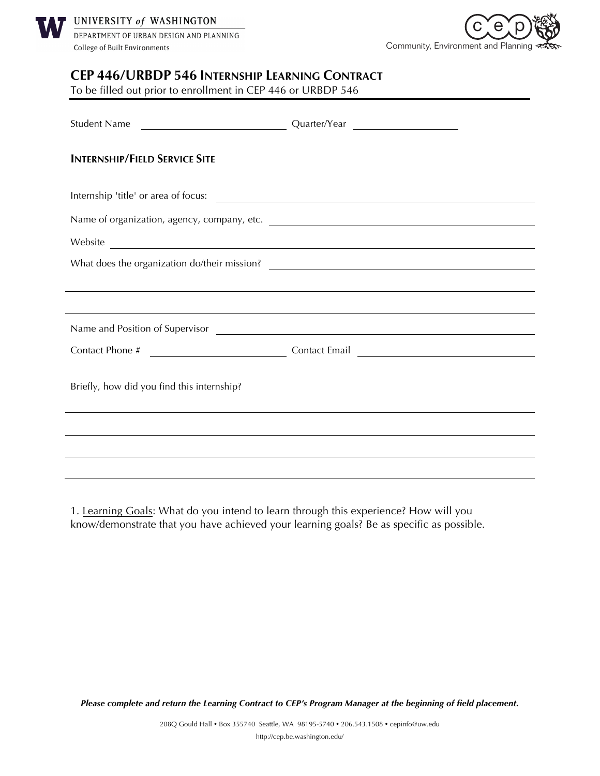



## **CEP 446/URBDP 546 INTERNSHIP LEARNING CONTRACT**

To be filled out prior to enrollment in CEP 446 or URBDP 546

| <b>Student Name</b>                                                                                                                                                                                                                    | Quarter/Year                                                                                                          |  |
|----------------------------------------------------------------------------------------------------------------------------------------------------------------------------------------------------------------------------------------|-----------------------------------------------------------------------------------------------------------------------|--|
| <b>INTERNSHIP/FIELD SERVICE SITE</b>                                                                                                                                                                                                   |                                                                                                                       |  |
| Internship 'title' or area of focus:                                                                                                                                                                                                   |                                                                                                                       |  |
| Name of organization, agency, company, etc.                                                                                                                                                                                            |                                                                                                                       |  |
| Website Production and the contract of the contract of the contract of the contract of the contract of the contract of the contract of the contract of the contract of the contract of the contract of the contract of the con         |                                                                                                                       |  |
| What does the organization do/their mission?<br><u> and the community of the community of the community of the community of the community of the community of the community of the community of the community of the community of </u> |                                                                                                                       |  |
|                                                                                                                                                                                                                                        |                                                                                                                       |  |
|                                                                                                                                                                                                                                        | ,我们也不会有什么。""我们的人,我们也不会有什么?""我们的人,我们也不会有什么?""我们的人,我们也不会有什么?""我们的人,我们也不会有什么?""我们的人                                      |  |
|                                                                                                                                                                                                                                        |                                                                                                                       |  |
|                                                                                                                                                                                                                                        |                                                                                                                       |  |
| Briefly, how did you find this internship?                                                                                                                                                                                             |                                                                                                                       |  |
|                                                                                                                                                                                                                                        |                                                                                                                       |  |
|                                                                                                                                                                                                                                        | <u> 1989 - Johann Stoff, deutscher Stoffen und der Stoffen und der Stoffen und der Stoffen und der Stoffen und de</u> |  |
|                                                                                                                                                                                                                                        |                                                                                                                       |  |

1. Learning Goals: What do you intend to learn through this experience? How will you know/demonstrate that you have achieved your learning goals? Be as specific as possible.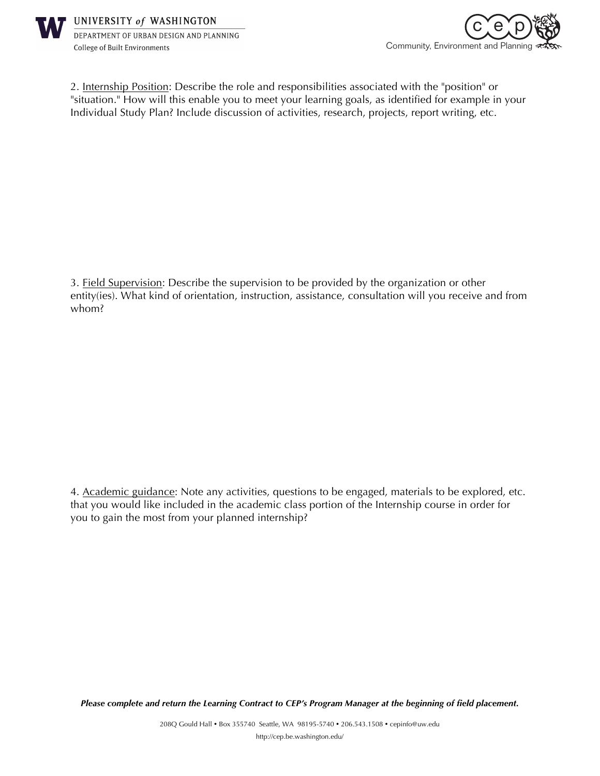



2. Internship Position: Describe the role and responsibilities associated with the "position" or "situation." How will this enable you to meet your learning goals, as identified for example in your Individual Study Plan? Include discussion of activities, research, projects, report writing, etc.

3. Field Supervision: Describe the supervision to be provided by the organization or other entity(ies). What kind of orientation, instruction, assistance, consultation will you receive and from whom?

4. Academic guidance: Note any activities, questions to be engaged, materials to be explored, etc. that you would like included in the academic class portion of the Internship course in order for you to gain the most from your planned internship?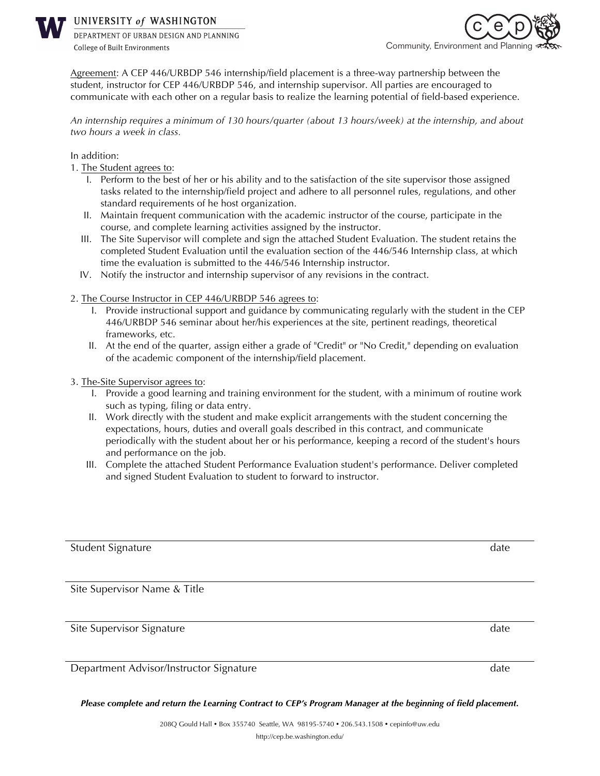

UNIVERSITY of WASHINGTON

DEPARTMENT OF URBAN DESIGN AND PLANNING **College of Built Environments** 



Agreement: A CEP 446/URBDP 546 internship/field placement is a three-way partnership between the student, instructor for CEP 446/URBDP 546, and internship supervisor. All parties are encouraged to communicate with each other on a regular basis to realize the learning potential of field-based experience.

*An internship requires a minimum of 130 hours/quarter (about 13 hours/week) at the internship, and about two hours a week in class.* 

In addition:

- 1. The Student agrees to:
	- I. Perform to the best of her or his ability and to the satisfaction of the site supervisor those assigned tasks related to the internship/field project and adhere to all personnel rules, regulations, and other standard requirements of he host organization.
	- II. Maintain frequent communication with the academic instructor of the course, participate in the course, and complete learning activities assigned by the instructor.
	- III. The Site Supervisor will complete and sign the attached Student Evaluation. The student retains the completed Student Evaluation until the evaluation section of the 446/546 Internship class, at which time the evaluation is submitted to the 446/546 Internship instructor.
	- IV. Notify the instructor and internship supervisor of any revisions in the contract.

## 2. The Course Instructor in CEP 446/URBDP 546 agrees to:

- I. Provide instructional support and guidance by communicating regularly with the student in the CEP 446/URBDP 546 seminar about her/his experiences at the site, pertinent readings, theoretical frameworks, etc.
- II. At the end of the quarter, assign either a grade of "Credit" or "No Credit," depending on evaluation of the academic component of the internship/field placement.
- 3. The-Site Supervisor agrees to:
	- I. Provide a good learning and training environment for the student, with a minimum of routine work such as typing, filing or data entry.
	- II. Work directly with the student and make explicit arrangements with the student concerning the expectations, hours, duties and overall goals described in this contract, and communicate periodically with the student about her or his performance, keeping a record of the student's hours and performance on the job.
	- III. Complete the attached Student Performance Evaluation student's performance. Deliver completed and signed Student Evaluation to student to forward to instructor.

Student Signature date and the student student signature date and the student signature date

Site Supervisor Name & Title

Site Supervisor Signature date and the supervisor Signature date and the supervisor of the supervisor of the supervisor of the supervisor of the supervisor of the supervisor of the supervisor of the supervisor of the super

Department Advisor/Instructor Signature date date date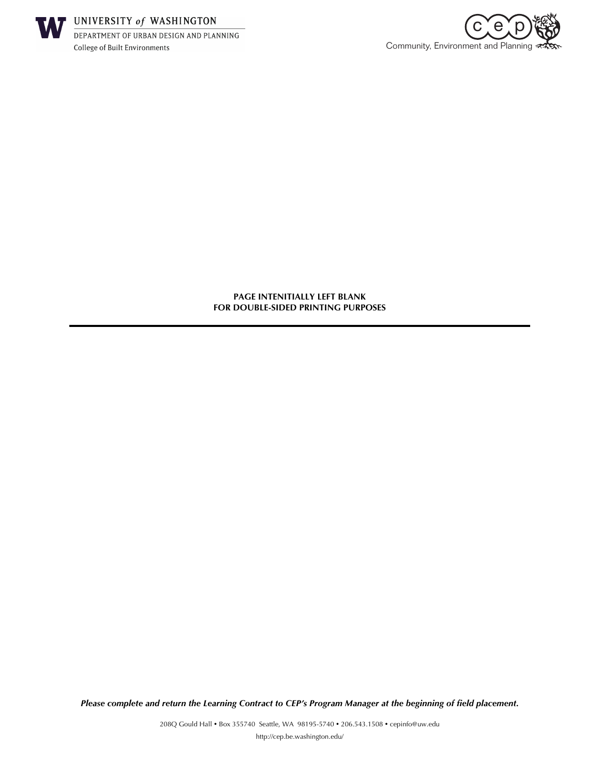



**PAGE INTENITIALLY LEFT BLANK FOR DOUBLE-SIDED PRINTING PURPOSES**

*Please complete and return the Learning Contract to CEP's Program Manager at the beginning of field placement.*

208Q Gould Hall . Box 355740 Seattle, WA 98195-5740 . 206.543.1508 . cepinfo@uw.edu http://cep.be.washington.edu/